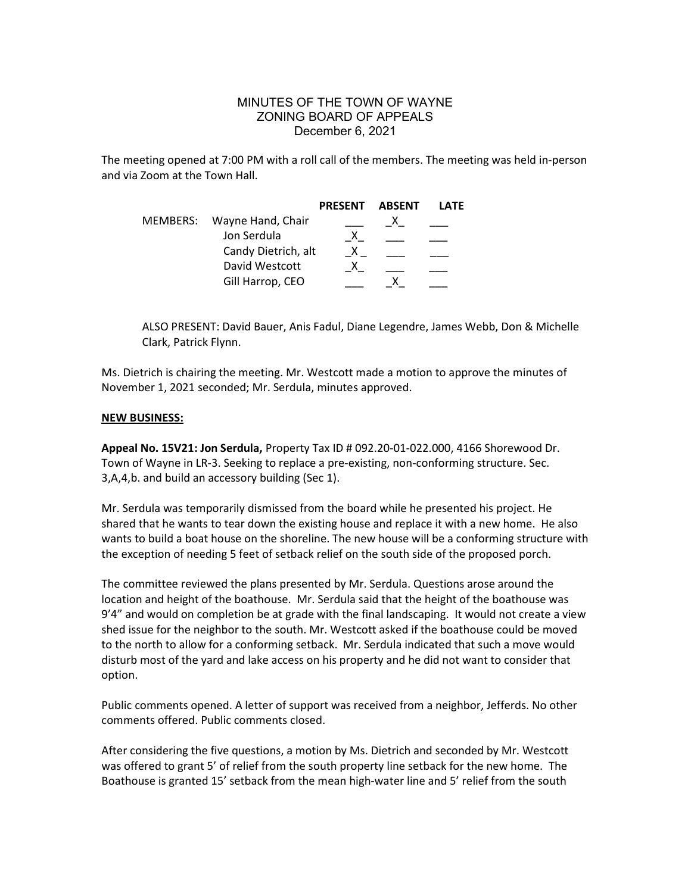## MINUTES OF THE TOWN OF WAYNE ZONING BOARD OF APPEALS December 6, 2021

The meeting opened at 7:00 PM with a roll call of the members. The meeting was held in-person and via Zoom at the Town Hall.

|  |                            | <b>PRESENT</b> | ABSENT | LATF |
|--|----------------------------|----------------|--------|------|
|  | MEMBERS: Wayne Hand, Chair |                |        |      |
|  | Jon Serdula                |                |        |      |
|  | Candy Dietrich, alt        |                |        |      |
|  | David Westcott             |                |        |      |
|  | Gill Harrop, CEO           |                |        |      |

ALSO PRESENT: David Bauer, Anis Fadul, Diane Legendre, James Webb, Don & Michelle Clark, Patrick Flynn.

Ms. Dietrich is chairing the meeting. Mr. Westcott made a motion to approve the minutes of November 1, 2021 seconded; Mr. Serdula, minutes approved.

## NEW BUSINESS:

Appeal No. 15V21: Jon Serdula, Property Tax ID # 092.20-01-022.000, 4166 Shorewood Dr. Town of Wayne in LR-3. Seeking to replace a pre-existing, non-conforming structure. Sec. 3,A,4,b. and build an accessory building (Sec 1).

Mr. Serdula was temporarily dismissed from the board while he presented his project. He shared that he wants to tear down the existing house and replace it with a new home. He also wants to build a boat house on the shoreline. The new house will be a conforming structure with the exception of needing 5 feet of setback relief on the south side of the proposed porch.

The committee reviewed the plans presented by Mr. Serdula. Questions arose around the location and height of the boathouse. Mr. Serdula said that the height of the boathouse was 9'4" and would on completion be at grade with the final landscaping. It would not create a view shed issue for the neighbor to the south. Mr. Westcott asked if the boathouse could be moved to the north to allow for a conforming setback. Mr. Serdula indicated that such a move would disturb most of the yard and lake access on his property and he did not want to consider that option.

Public comments opened. A letter of support was received from a neighbor, Jefferds. No other comments offered. Public comments closed.

After considering the five questions, a motion by Ms. Dietrich and seconded by Mr. Westcott was offered to grant 5' of relief from the south property line setback for the new home. The Boathouse is granted 15' setback from the mean high-water line and 5' relief from the south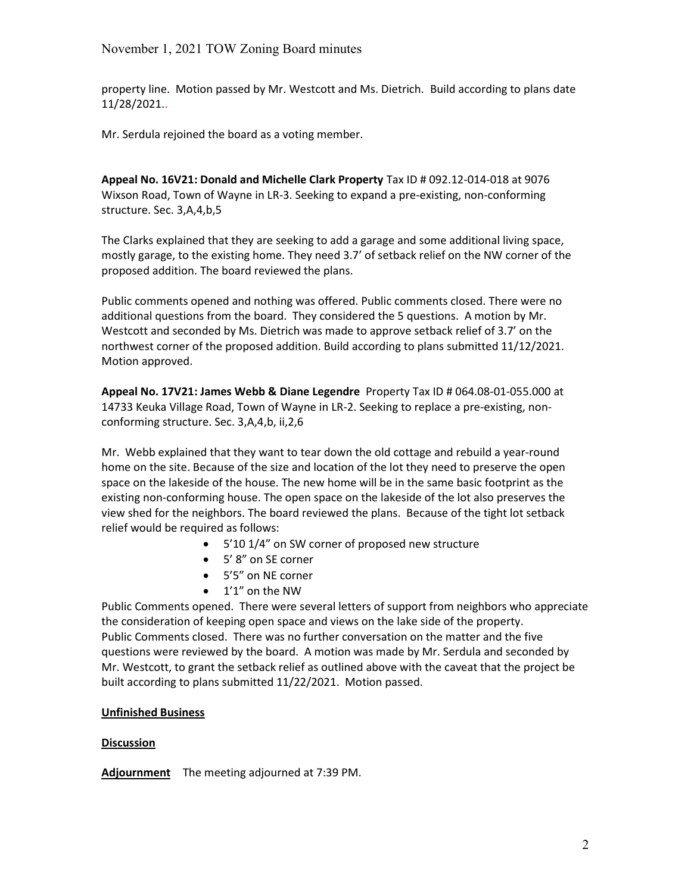property line. Motion passed by Mr. Westcott and Ms. Dietrich. Build according to plans date 11/28/2021..

Mr. Serdula rejoined the board as a voting member.

Appeal No. 16V21: Donald and Michelle Clark Property Tax ID # 092.12-014-018 at 9076 Wixson Road, Town of Wayne in LR-3. Seeking to expand a pre-existing, non-conforming structure. Sec. 3,A,4,b,5

The Clarks explained that they are seeking to add a garage and some additional living space, mostly garage, to the existing home. They need 3.7' of setback relief on the NW corner of the proposed addition. The board reviewed the plans.

Public comments opened and nothing was offered. Public comments closed. There were no additional questions from the board. They considered the 5 questions. A motion by Mr. Westcott and seconded by Ms. Dietrich was made to approve setback relief of 3.7' on the northwest corner of the proposed addition. Build according to plans submitted 11/12/2021. Motion approved.

Appeal No. 17V21: James Webb & Diane Legendre Property Tax ID # 064.08-01-055.000 at 14733 Keuka Village Road, Town of Wayne in LR-2. Seeking to replace a pre-existing, nonconforming structure. Sec. 3,A,4,b, ii,2,6

Mr. Webb explained that they want to tear down the old cottage and rebuild a year-round home on the site. Because of the size and location of the lot they need to preserve the open space on the lakeside of the house. The new home will be in the same basic footprint as the existing non-conforming house. The open space on the lakeside of the lot also preserves the view shed for the neighbors. The board reviewed the plans. Because of the tight lot setback relief would be required as follows:

- 5'10 1/4" on SW corner of proposed new structure
- 5' 8" on SE corner
- 5'5" on NE corner
- 1'1" on the NW

Public Comments opened. There were several letters of support from neighbors who appreciate the consideration of keeping open space and views on the lake side of the property. Public Comments closed. There was no further conversation on the matter and the five questions were reviewed by the board. A motion was made by Mr. Serdula and seconded by Mr. Westcott, to grant the setback relief as outlined above with the caveat that the project be built according to plans submitted 11/22/2021. Motion passed.

## Unfinished Business

## **Discussion**

Adjournment The meeting adjourned at 7:39 PM.